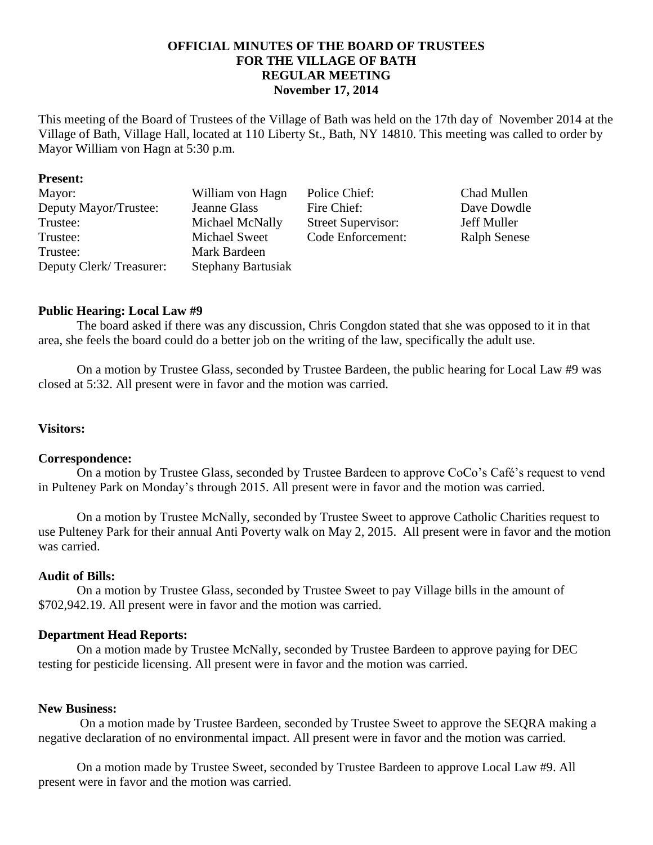# **OFFICIAL MINUTES OF THE BOARD OF TRUSTEES FOR THE VILLAGE OF BATH REGULAR MEETING November 17, 2014**

This meeting of the Board of Trustees of the Village of Bath was held on the 17th day of November 2014 at the Village of Bath, Village Hall, located at 110 Liberty St., Bath, NY 14810. This meeting was called to order by Mayor William von Hagn at 5:30 p.m.

#### **Present:**

| Mayor:                  | William von Hagn          | Police Chief:             | Chad Mullen         |
|-------------------------|---------------------------|---------------------------|---------------------|
| Deputy Mayor/Trustee:   | Jeanne Glass              | Fire Chief:               | Dave Dowdle         |
| Trustee:                | Michael McNally           | <b>Street Supervisor:</b> | Jeff Muller         |
| Trustee:                | Michael Sweet             | Code Enforcement:         | <b>Ralph Senese</b> |
| Trustee:                | Mark Bardeen              |                           |                     |
| Deputy Clerk/Treasurer: | <b>Stephany Bartusiak</b> |                           |                     |

## **Public Hearing: Local Law #9**

The board asked if there was any discussion, Chris Congdon stated that she was opposed to it in that area, she feels the board could do a better job on the writing of the law, specifically the adult use.

On a motion by Trustee Glass, seconded by Trustee Bardeen, the public hearing for Local Law #9 was closed at 5:32. All present were in favor and the motion was carried.

## **Visitors:**

#### **Correspondence:**

On a motion by Trustee Glass, seconded by Trustee Bardeen to approve CoCo's Café's request to vend in Pulteney Park on Monday's through 2015. All present were in favor and the motion was carried.

On a motion by Trustee McNally, seconded by Trustee Sweet to approve Catholic Charities request to use Pulteney Park for their annual Anti Poverty walk on May 2, 2015. All present were in favor and the motion was carried.

#### **Audit of Bills:**

On a motion by Trustee Glass, seconded by Trustee Sweet to pay Village bills in the amount of \$702,942.19. All present were in favor and the motion was carried.

#### **Department Head Reports:**

On a motion made by Trustee McNally, seconded by Trustee Bardeen to approve paying for DEC testing for pesticide licensing. All present were in favor and the motion was carried.

#### **New Business:**

On a motion made by Trustee Bardeen, seconded by Trustee Sweet to approve the SEQRA making a negative declaration of no environmental impact. All present were in favor and the motion was carried.

On a motion made by Trustee Sweet, seconded by Trustee Bardeen to approve Local Law #9. All present were in favor and the motion was carried.